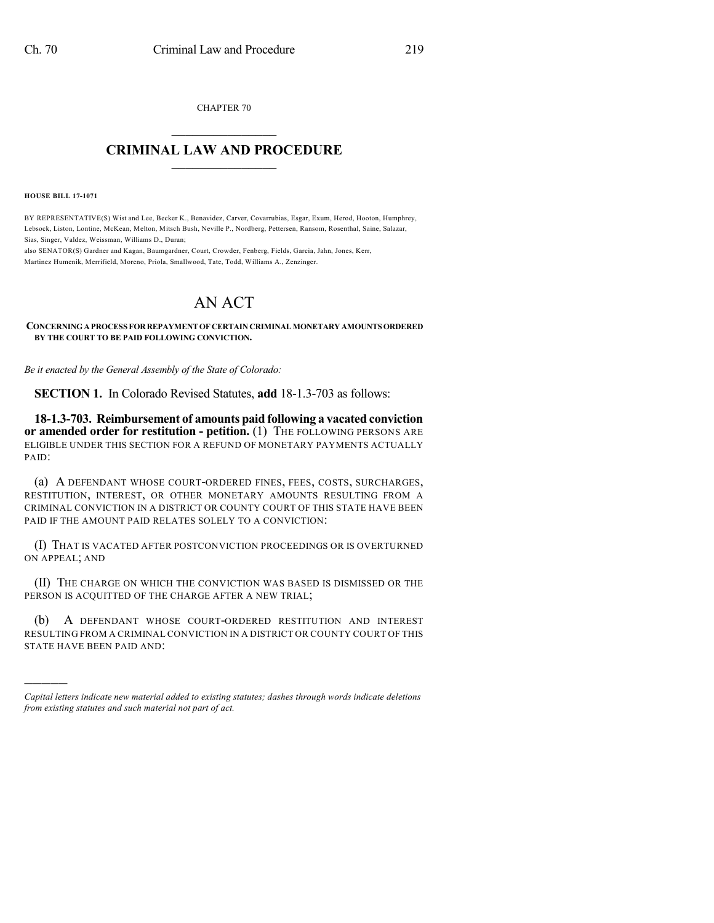CHAPTER 70  $\overline{\phantom{a}}$  . The set of the set of the set of the set of the set of the set of the set of the set of the set of the set of the set of the set of the set of the set of the set of the set of the set of the set of the set o

## **CRIMINAL LAW AND PROCEDURE**  $\frac{1}{2}$  ,  $\frac{1}{2}$  ,  $\frac{1}{2}$  ,  $\frac{1}{2}$  ,  $\frac{1}{2}$  ,  $\frac{1}{2}$  ,  $\frac{1}{2}$

**HOUSE BILL 17-1071**

)))))

BY REPRESENTATIVE(S) Wist and Lee, Becker K., Benavidez, Carver, Covarrubias, Esgar, Exum, Herod, Hooton, Humphrey, Lebsock, Liston, Lontine, McKean, Melton, Mitsch Bush, Neville P., Nordberg, Pettersen, Ransom, Rosenthal, Saine, Salazar, Sias, Singer, Valdez, Weissman, Williams D., Duran;

also SENATOR(S) Gardner and Kagan, Baumgardner, Court, Crowder, Fenberg, Fields, Garcia, Jahn, Jones, Kerr, Martinez Humenik, Merrifield, Moreno, Priola, Smallwood, Tate, Todd, Williams A., Zenzinger.

## AN ACT

**CONCERNINGAPROCESS FORREPAYMENTOF CERTAINCRIMINALMONETARYAMOUNTSORDERED BY THE COURT TO BE PAID FOLLOWING CONVICTION.**

*Be it enacted by the General Assembly of the State of Colorado:*

**SECTION 1.** In Colorado Revised Statutes, **add** 18-1.3-703 as follows:

**18-1.3-703. Reimbursement of amounts paid following a vacated conviction or amended order for restitution - petition.** (1) THE FOLLOWING PERSONS ARE ELIGIBLE UNDER THIS SECTION FOR A REFUND OF MONETARY PAYMENTS ACTUALLY PAID:

(a) A DEFENDANT WHOSE COURT-ORDERED FINES, FEES, COSTS, SURCHARGES, RESTITUTION, INTEREST, OR OTHER MONETARY AMOUNTS RESULTING FROM A CRIMINAL CONVICTION IN A DISTRICT OR COUNTY COURT OF THIS STATE HAVE BEEN PAID IF THE AMOUNT PAID RELATES SOLELY TO A CONVICTION:

(I) THAT IS VACATED AFTER POSTCONVICTION PROCEEDINGS OR IS OVERTURNED ON APPEAL; AND

(II) THE CHARGE ON WHICH THE CONVICTION WAS BASED IS DISMISSED OR THE PERSON IS ACQUITTED OF THE CHARGE AFTER A NEW TRIAL;

(b) A DEFENDANT WHOSE COURT-ORDERED RESTITUTION AND INTEREST RESULTING FROM A CRIMINAL CONVICTION IN A DISTRICT OR COUNTY COURT OF THIS STATE HAVE BEEN PAID AND:

*Capital letters indicate new material added to existing statutes; dashes through words indicate deletions from existing statutes and such material not part of act.*